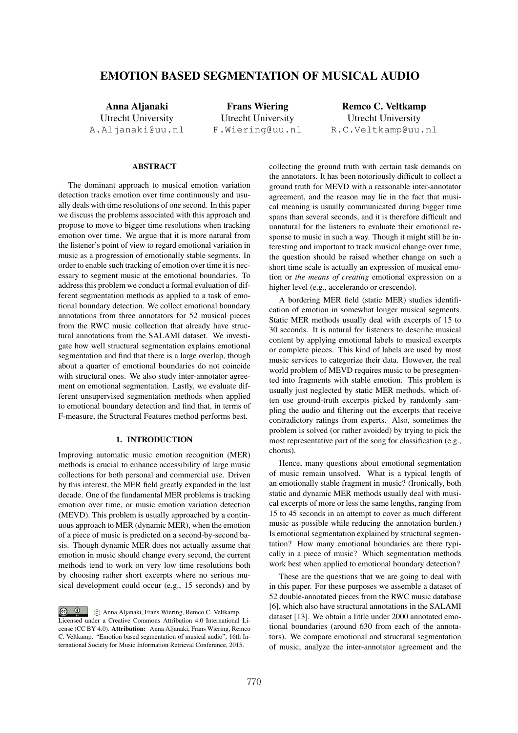# EMOTION BASED SEGMENTATION OF MUSICAL AUDIO

Anna Aljanaki Utrecht University A.Aljanaki@uu.nl

Frans Wiering Utrecht University F.Wiering@uu.nl

Remco C. Veltkamp Utrecht University R.C.Veltkamp@uu.nl

## ABSTRACT

The dominant approach to musical emotion variation detection tracks emotion over time continuously and usually deals with time resolutions of one second. In this paper we discuss the problems associated with this approach and propose to move to bigger time resolutions when tracking emotion over time. We argue that it is more natural from the listener's point of view to regard emotional variation in music as a progression of emotionally stable segments. In order to enable such tracking of emotion over time it is necessary to segment music at the emotional boundaries. To address this problem we conduct a formal evaluation of different segmentation methods as applied to a task of emotional boundary detection. We collect emotional boundary annotations from three annotators for 52 musical pieces from the RWC music collection that already have structural annotations from the SALAMI dataset. We investigate how well structural segmentation explains emotional segmentation and find that there is a large overlap, though about a quarter of emotional boundaries do not coincide with structural ones. We also study inter-annotator agreement on emotional segmentation. Lastly, we evaluate different unsupervised segmentation methods when applied to emotional boundary detection and find that, in terms of F-measure, the Structural Features method performs best.

## 1. INTRODUCTION

Improving automatic music emotion recognition (MER) methods is crucial to enhance accessibility of large music collections for both personal and commercial use. Driven by this interest, the MER field greatly expanded in the last decade. One of the fundamental MER problems is tracking emotion over time, or music emotion variation detection (MEVD). This problem is usually approached by a continuous approach to MER (dynamic MER), when the emotion of a piece of music is predicted on a second-by-second basis. Though dynamic MER does not actually assume that emotion in music should change every second, the current methods tend to work on very low time resolutions both by choosing rather short excerpts where no serious musical development could occur (e.g., 15 seconds) and by

collecting the ground truth with certain task demands on the annotators. It has been notoriously difficult to collect a ground truth for MEVD with a reasonable inter-annotator agreement, and the reason may lie in the fact that musical meaning is usually communicated during bigger time spans than several seconds, and it is therefore difficult and unnatural for the listeners to evaluate their emotional response to music in such a way. Though it might still be interesting and important to track musical change over time, the question should be raised whether change on such a short time scale is actually an expression of musical emotion or *the means of creating* emotional expression on a higher level (e.g., accelerando or crescendo).

A bordering MER field (static MER) studies identification of emotion in somewhat longer musical segments. Static MER methods usually deal with excerpts of 15 to 30 seconds. It is natural for listeners to describe musical content by applying emotional labels to musical excerpts or complete pieces. This kind of labels are used by most music services to categorize their data. However, the real world problem of MEVD requires music to be presegmented into fragments with stable emotion. This problem is usually just neglected by static MER methods, which often use ground-truth excerpts picked by randomly sampling the audio and filtering out the excerpts that receive contradictory ratings from experts. Also, sometimes the problem is solved (or rather avoided) by trying to pick the most representative part of the song for classification (e.g., chorus).

Hence, many questions about emotional segmentation of music remain unsolved. What is a typical length of an emotionally stable fragment in music? (Ironically, both static and dynamic MER methods usually deal with musical excerpts of more or less the same lengths, ranging from 15 to 45 seconds in an attempt to cover as much different music as possible while reducing the annotation burden.) Is emotional segmentation explained by structural segmentation? How many emotional boundaries are there typically in a piece of music? Which segmentation methods work best when applied to emotional boundary detection?

These are the questions that we are going to deal with in this paper. For these purposes we assemble a dataset of 52 double-annotated pieces from the RWC music database [6], which also have structural annotations in the SALAMI dataset [13]. We obtain a little under 2000 annotated emotional boundaries (around 630 from each of the annotators). We compare emotional and structural segmentation of music, analyze the inter-annotator agreement and the

C  $\circled{c}$  C Anna Aljanaki, Frans Wiering, Remco C. Veltkamp. Licensed under a Creative Commons Attribution 4.0 International License (CC BY 4.0). Attribution: Anna Aljanaki, Frans Wiering, Remco C. Veltkamp. "Emotion based segmentation of musical audio", 16th International Society for Music Information Retrieval Conference, 2015.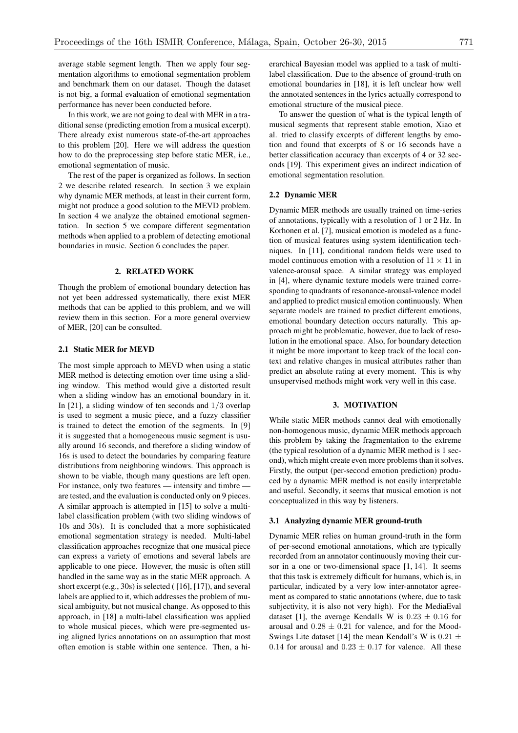average stable segment length. Then we apply four segmentation algorithms to emotional segmentation problem and benchmark them on our dataset. Though the dataset is not big, a formal evaluation of emotional segmentation performance has never been conducted before.

In this work, we are not going to deal with MER in a traditional sense (predicting emotion from a musical excerpt). There already exist numerous state-of-the-art approaches to this problem [20]. Here we will address the question how to do the preprocessing step before static MER, i.e., emotional segmentation of music.

The rest of the paper is organized as follows. In section 2 we describe related research. In section 3 we explain why dynamic MER methods, at least in their current form, might not produce a good solution to the MEVD problem. In section 4 we analyze the obtained emotional segmentation. In section 5 we compare different segmentation methods when applied to a problem of detecting emotional boundaries in music. Section 6 concludes the paper.

## 2. RELATED WORK

Though the problem of emotional boundary detection has not yet been addressed systematically, there exist MER methods that can be applied to this problem, and we will review them in this section. For a more general overview of MER, [20] can be consulted.

## 2.1 Static MER for MEVD

The most simple approach to MEVD when using a static MER method is detecting emotion over time using a sliding window. This method would give a distorted result when a sliding window has an emotional boundary in it. In [21], a sliding window of ten seconds and 1*/*3 overlap is used to segment a music piece, and a fuzzy classifier is trained to detect the emotion of the segments. In [9] it is suggested that a homogeneous music segment is usually around 16 seconds, and therefore a sliding window of 16s is used to detect the boundaries by comparing feature distributions from neighboring windows. This approach is shown to be viable, though many questions are left open. For instance, only two features — intensity and timbre are tested, and the evaluation is conducted only on 9 pieces. A similar approach is attempted in [15] to solve a multilabel classification problem (with two sliding windows of 10s and 30s). It is concluded that a more sophisticated emotional segmentation strategy is needed. Multi-label classification approaches recognize that one musical piece can express a variety of emotions and several labels are applicable to one piece. However, the music is often still handled in the same way as in the static MER approach. A short excerpt (e.g., 30s) is selected ( [16], [17]), and several labels are applied to it, which addresses the problem of musical ambiguity, but not musical change. As opposed to this approach, in [18] a multi-label classification was applied to whole musical pieces, which were pre-segmented using aligned lyrics annotations on an assumption that most often emotion is stable within one sentence. Then, a hi-

erarchical Bayesian model was applied to a task of multilabel classification. Due to the absence of ground-truth on emotional boundaries in [18], it is left unclear how well the annotated sentences in the lyrics actually correspond to emotional structure of the musical piece.

To answer the question of what is the typical length of musical segments that represent stable emotion, Xiao et al. tried to classify excerpts of different lengths by emotion and found that excerpts of 8 or 16 seconds have a better classification accuracy than excerpts of 4 or 32 seconds [19]. This experiment gives an indirect indication of emotional segmentation resolution.

## 2.2 Dynamic MER

Dynamic MER methods are usually trained on time-series of annotations, typically with a resolution of 1 or 2 Hz. In Korhonen et al. [7], musical emotion is modeled as a function of musical features using system identification techniques. In [11], conditional random fields were used to model continuous emotion with a resolution of  $11 \times 11$  in valence-arousal space. A similar strategy was employed in [4], where dynamic texture models were trained corresponding to quadrants of resonance-arousal-valence model and applied to predict musical emotion continuously. When separate models are trained to predict different emotions, emotional boundary detection occurs naturally. This approach might be problematic, however, due to lack of resolution in the emotional space. Also, for boundary detection it might be more important to keep track of the local context and relative changes in musical attributes rather than predict an absolute rating at every moment. This is why unsupervised methods might work very well in this case.

### 3. MOTIVATION

While static MER methods cannot deal with emotionally non-homogenous music, dynamic MER methods approach this problem by taking the fragmentation to the extreme (the typical resolution of a dynamic MER method is 1 second), which might create even more problems than it solves. Firstly, the output (per-second emotion prediction) produced by a dynamic MER method is not easily interpretable and useful. Secondly, it seems that musical emotion is not conceptualized in this way by listeners.

### 3.1 Analyzing dynamic MER ground-truth

Dynamic MER relies on human ground-truth in the form of per-second emotional annotations, which are typically recorded from an annotator continuously moving their cursor in a one or two-dimensional space [1, 14]. It seems that this task is extremely difficult for humans, which is, in particular, indicated by a very low inter-annotator agreement as compared to static annotations (where, due to task subjectivity, it is also not very high). For the MediaEval dataset [1], the average Kendalls W is  $0.23 \pm 0.16$  for arousal and  $0.28 \pm 0.21$  for valence, and for the Mood-Swings Lite dataset [14] the mean Kendall's W is 0*.*21 *±* 0.14 for arousal and  $0.23 \pm 0.17$  for valence. All these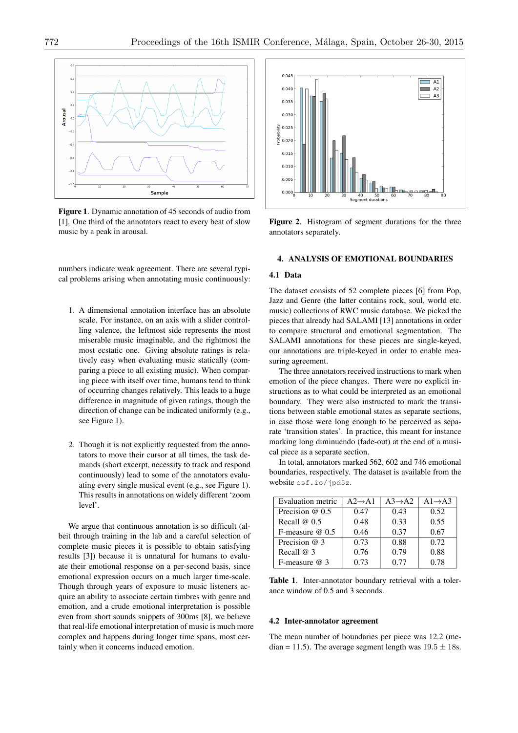

Figure 1. Dynamic annotation of 45 seconds of audio from [1]. One third of the annotators react to every beat of slow music by a peak in arousal.

numbers indicate weak agreement. There are several typical problems arising when annotating music continuously:

- 1. A dimensional annotation interface has an absolute scale. For instance, on an axis with a slider controlling valence, the leftmost side represents the most miserable music imaginable, and the rightmost the most ecstatic one. Giving absolute ratings is relatively easy when evaluating music statically (comparing a piece to all existing music). When comparing piece with itself over time, humans tend to think of occurring changes relatively. This leads to a huge difference in magnitude of given ratings, though the direction of change can be indicated uniformly (e.g., see Figure 1).
- 2. Though it is not explicitly requested from the annotators to move their cursor at all times, the task demands (short excerpt, necessity to track and respond continuously) lead to some of the annotators evaluating every single musical event (e.g., see Figure 1). This results in annotations on widely different 'zoom level'.

We argue that continuous annotation is so difficult (albeit through training in the lab and a careful selection of complete music pieces it is possible to obtain satisfying results [3]) because it is unnatural for humans to evaluate their emotional response on a per-second basis, since emotional expression occurs on a much larger time-scale. Though through years of exposure to music listeners acquire an ability to associate certain timbres with genre and emotion, and a crude emotional interpretation is possible even from short sounds snippets of 300ms [8], we believe that real-life emotional interpretation of music is much more complex and happens during longer time spans, most certainly when it concerns induced emotion.



Figure 2. Histogram of segment durations for the three annotators separately.

### 4. ANALYSIS OF EMOTIONAL BOUNDARIES

## 4.1 Data

The dataset consists of 52 complete pieces [6] from Pop, Jazz and Genre (the latter contains rock, soul, world etc. music) collections of RWC music database. We picked the pieces that already had SALAMI [13] annotations in order to compare structural and emotional segmentation. The SALAMI annotations for these pieces are single-keyed, our annotations are triple-keyed in order to enable measuring agreement.

The three annotators received instructions to mark when emotion of the piece changes. There were no explicit instructions as to what could be interpreted as an emotional boundary. They were also instructed to mark the transitions between stable emotional states as separate sections, in case those were long enough to be perceived as separate 'transition states'. In practice, this meant for instance marking long diminuendo (fade-out) at the end of a musical piece as a separate section.

In total, annotators marked 562, 602 and 746 emotional boundaries, respectively. The dataset is available from the website osf.io/jpd5z.

| Evaluation metric | $A2 \rightarrow A1$ | $A3 \rightarrow A2$ | $A1 \rightarrow A3$ |
|-------------------|---------------------|---------------------|---------------------|
| Precision $@0.5$  | 0.47                | 0.43                | 0.52                |
| Recall $@0.5$     | 0.48                | 0.33                | 0.55                |
| F-measure $@0.5$  | 0.46                | 0.37                | 0.67                |
| Precision $@$ 3   | 0.73                | 0.88                | 0.72                |
| Recall @ 3        | 0.76                | 0.79                | 0.88                |
| F-measure $@$ 3   | 0.73                | 0.77                | 0.78                |

Table 1. Inter-annotator boundary retrieval with a tolerance window of 0.5 and 3 seconds.

### 4.2 Inter-annotator agreement

The mean number of boundaries per piece was 12.2 (median = 11.5). The average segment length was  $19.5 \pm 18$ s.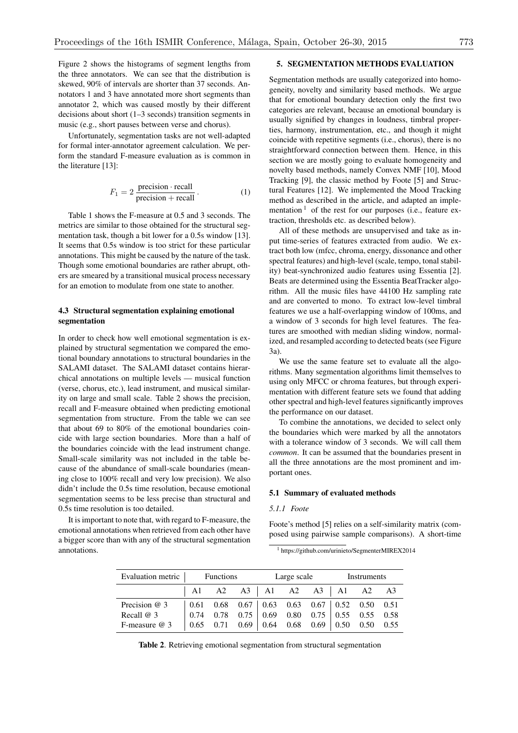Figure 2 shows the histograms of segment lengths from the three annotators. We can see that the distribution is skewed, 90% of intervals are shorter than 37 seconds. Annotators 1 and 3 have annotated more short segments than annotator 2, which was caused mostly by their different decisions about short (1–3 seconds) transition segments in music (e.g., short pauses between verse and chorus).

Unfortunately, segmentation tasks are not well-adapted for formal inter-annotator agreement calculation. We perform the standard F-measure evaluation as is common in the literature [13]:

$$
F_1 = 2 \frac{\text{precision} \cdot \text{recall}}{\text{precision} + \text{recall}}.
$$
 (1)

Table 1 shows the F-measure at 0.5 and 3 seconds. The metrics are similar to those obtained for the structural segmentation task, though a bit lower for a 0.5s window [13]. It seems that 0.5s window is too strict for these particular annotations. This might be caused by the nature of the task. Though some emotional boundaries are rather abrupt, others are smeared by a transitional musical process necessary for an emotion to modulate from one state to another.

## 4.3 Structural segmentation explaining emotional segmentation

In order to check how well emotional segmentation is explained by structural segmentation we compared the emotional boundary annotations to structural boundaries in the SALAMI dataset. The SALAMI dataset contains hierarchical annotations on multiple levels — musical function (verse, chorus, etc.), lead instrument, and musical similarity on large and small scale. Table 2 shows the precision, recall and F-measure obtained when predicting emotional segmentation from structure. From the table we can see that about 69 to 80% of the emotional boundaries coincide with large section boundaries. More than a half of the boundaries coincide with the lead instrument change. Small-scale similarity was not included in the table because of the abundance of small-scale boundaries (meaning close to 100% recall and very low precision). We also didn't include the 0.5s time resolution, because emotional segmentation seems to be less precise than structural and 0.5s time resolution is too detailed.

It is important to note that, with regard to F-measure, the emotional annotations when retrieved from each other have a bigger score than with any of the structural segmentation annotations.

## 5. SEGMENTATION METHODS EVALUATION

Segmentation methods are usually categorized into homogeneity, novelty and similarity based methods. We argue that for emotional boundary detection only the first two categories are relevant, because an emotional boundary is usually signified by changes in loudness, timbral properties, harmony, instrumentation, etc., and though it might coincide with repetitive segments (i.e., chorus), there is no straightforward connection between them. Hence, in this section we are mostly going to evaluate homogeneity and novelty based methods, namely Convex NMF [10], Mood Tracking [9], the classic method by Foote [5] and Structural Features [12]. We implemented the Mood Tracking method as described in the article, and adapted an implementation  $1$  of the rest for our purposes (i.e., feature extraction, thresholds etc. as described below).

All of these methods are unsupervised and take as input time-series of features extracted from audio. We extract both low (mfcc, chroma, energy, dissonance and other spectral features) and high-level (scale, tempo, tonal stability) beat-synchronized audio features using Essentia [2]. Beats are determined using the Essentia BeatTracker algorithm. All the music files have 44100 Hz sampling rate and are converted to mono. To extract low-level timbral features we use a half-overlapping window of 100ms, and a window of 3 seconds for high level features. The features are smoothed with median sliding window, normalized, and resampled according to detected beats (see Figure 3a).

We use the same feature set to evaluate all the algorithms. Many segmentation algorithms limit themselves to using only MFCC or chroma features, but through experimentation with different feature sets we found that adding other spectral and high-level features significantly improves the performance on our dataset.

To combine the annotations, we decided to select only the boundaries which were marked by all the annotators with a tolerance window of 3 seconds. We will call them *common*. It can be assumed that the boundaries present in all the three annotations are the most prominent and important ones.

## 5.1 Summary of evaluated methods

## *5.1.1 Foote*

Foote's method [5] relies on a self-similarity matrix (composed using pairwise sample comparisons). A short-time

<sup>1</sup> https://github.com/urinieto/SegmenterMIREX2014

| Evaluation metric Functions |                                                                |  |  | Large scale | Instruments |  |  |  |
|-----------------------------|----------------------------------------------------------------|--|--|-------------|-------------|--|--|--|
|                             | $\begin{vmatrix} A1 & A2 & A3 \end{vmatrix}$ A1 A2 A3 A1 A2 A3 |  |  |             |             |  |  |  |
| Precision $@$ 3             |                                                                |  |  |             |             |  |  |  |
| Recall $@3$                 |                                                                |  |  |             |             |  |  |  |
| F-measure $@3$              |                                                                |  |  |             |             |  |  |  |

Table 2. Retrieving emotional segmentation from structural segmentation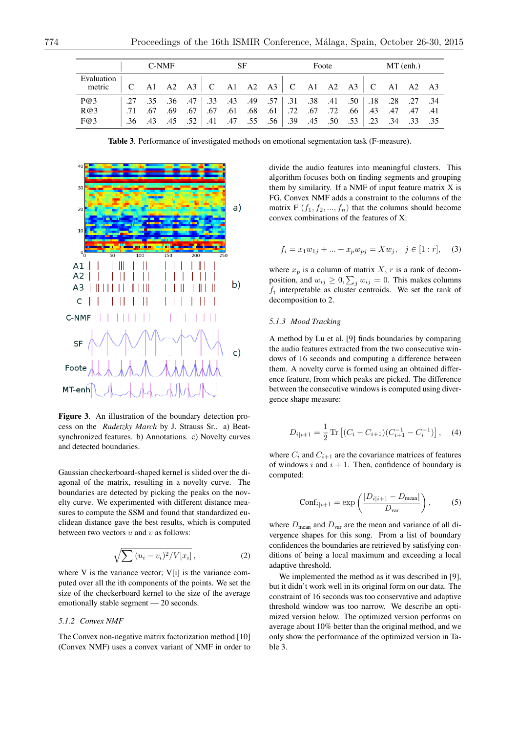|                      | C-NMF |  |  |  | SF |  |  | Foote |  |  |  | MT(enh.) |  |  |                                                                         |  |
|----------------------|-------|--|--|--|----|--|--|-------|--|--|--|----------|--|--|-------------------------------------------------------------------------|--|
| Evaluation<br>metric |       |  |  |  |    |  |  |       |  |  |  |          |  |  | C A1 A2 A3 C A1 A2 A3 C A1 A2 A3 C A1 A2 A3                             |  |
| P@3                  |       |  |  |  |    |  |  |       |  |  |  |          |  |  | .27 .34 .28 .27 .31 .50 .18 .28 .27 .34 .49 .57 .31 .38 .36 .47 .50 .57 |  |
| R@3                  | .71   |  |  |  |    |  |  |       |  |  |  |          |  |  | 41. 47. 47. 47. 48. 66. 72. 67. 72. 67. 10. 68. 61. 67. 69. 69. 67.     |  |
| F@3                  |       |  |  |  |    |  |  |       |  |  |  |          |  |  | .35 .34 .34 .35 .34 .23 .50 .55 .39 .45 .56 .39 .45 .56 .43 .45 .56     |  |

Table 3. Performance of investigated methods on emotional segmentation task (F-measure).



Figure 3. An illustration of the boundary detection process on the *Radetzky March* by J. Strauss Sr.. a) Beatsynchronized features. b) Annotations. c) Novelty curves and detected boundaries.

Gaussian checkerboard-shaped kernel is slided over the diagonal of the matrix, resulting in a novelty curve. The boundaries are detected by picking the peaks on the novelty curve. We experimented with different distance measures to compute the SSM and found that standardized euclidean distance gave the best results, which is computed between two vectors *u* and *v* as follows:

$$
\sqrt{\sum (u_i - v_i)^2 / V[x_i]}, \qquad (2)
$$

where V is the variance vector; V[i] is the variance computed over all the ith components of the points. We set the size of the checkerboard kernel to the size of the average emotionally stable segment — 20 seconds.

### *5.1.2 Convex NMF*

The Convex non-negative matrix factorization method [10] (Convex NMF) uses a convex variant of NMF in order to divide the audio features into meaningful clusters. This algorithm focuses both on finding segments and grouping them by similarity. If a NMF of input feature matrix X is FG, Convex NMF adds a constraint to the columns of the matrix F  $(f_1, f_2, ..., f_n)$  that the columns should become convex combinations of the features of X:

$$
f_i = x_1 w_{1j} + \dots + x_p w_{pj} = X w_j, \quad j \in [1:r], \quad (3)
$$

where  $x_p$  is a column of matrix  $X$ ,  $r$  is a rank of decomposition, and  $w_{ij} \geq 0$ ,  $\sum_j w_{ij} = 0$ . This makes columns *f<sup>i</sup>* interpretable as cluster centroids. We set the rank of decomposition to 2.

## *5.1.3 Mood Tracking*

A method by Lu et al. [9] finds boundaries by comparing the audio features extracted from the two consecutive windows of 16 seconds and computing a difference between them. A novelty curve is formed using an obtained difference feature, from which peaks are picked. The difference between the consecutive windows is computed using divergence shape measure:

$$
D_{i|i+1} = \frac{1}{2} \operatorname{Tr} \left[ (C_i - C_{i+1}) (C_{i+1}^{-1} - C_i^{-1}) \right], \quad (4)
$$

where  $C_i$  and  $C_{i+1}$  are the covariance matrices of features of windows  $i$  and  $i + 1$ . Then, confidence of boundary is computed:

$$
Conf_{i|i+1} = \exp\left(\frac{|D_{i|i+1} - D_{\text{mean}}|}{D_{\text{var}}}\right),\tag{5}
$$

where  $D_{\text{mean}}$  and  $D_{\text{var}}$  are the mean and variance of all divergence shapes for this song. From a list of boundary confidences the boundaries are retrieved by satisfying conditions of being a local maximum and exceeding a local adaptive threshold.

We implemented the method as it was described in [9], but it didn't work well in its original form on our data. The constraint of 16 seconds was too conservative and adaptive threshold window was too narrow. We describe an optimized version below. The optimized version performs on average about 10% better than the original method, and we only show the performance of the optimized version in Table 3.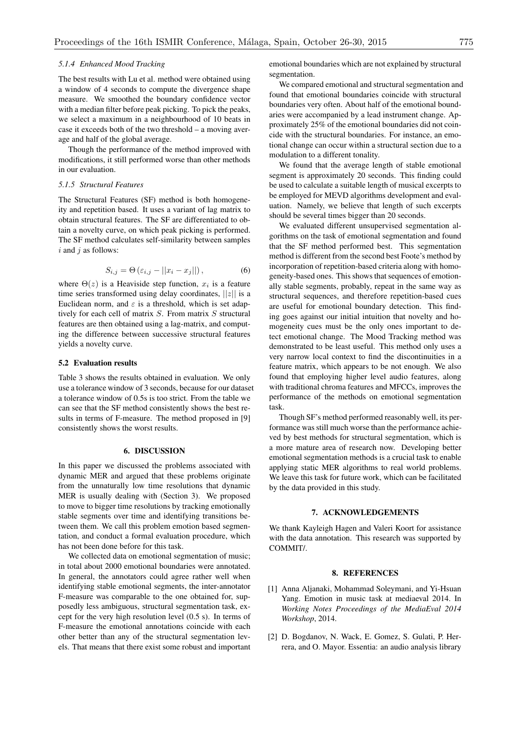## *5.1.4 Enhanced Mood Tracking*

The best results with Lu et al. method were obtained using a window of 4 seconds to compute the divergence shape measure. We smoothed the boundary confidence vector with a median filter before peak picking. To pick the peaks, we select a maximum in a neighbourhood of 10 beats in case it exceeds both of the two threshold – a moving average and half of the global average.

Though the performance of the method improved with modifications, it still performed worse than other methods in our evaluation.

## *5.1.5 Structural Features*

The Structural Features (SF) method is both homogeneity and repetition based. It uses a variant of lag matrix to obtain structural features. The SF are differentiated to obtain a novelty curve, on which peak picking is performed. The SF method calculates self-similarity between samples *i* and *j* as follows:

$$
S_{i,j} = \Theta\left(\varepsilon_{i,j} - ||x_i - x_j||\right),\tag{6}
$$

where  $\Theta(z)$  is a Heaviside step function,  $x_i$  is a feature time series transformed using delay coordinates, *||z||* is a Euclidean norm, and  $\varepsilon$  is a threshold, which is set adaptively for each cell of matrix *S*. From matrix *S* structural features are then obtained using a lag-matrix, and computing the difference between successive structural features yields a novelty curve.

### 5.2 Evaluation results

Table 3 shows the results obtained in evaluation. We only use a tolerance window of 3 seconds, because for our dataset a tolerance window of 0.5s is too strict. From the table we can see that the SF method consistently shows the best results in terms of F-measure. The method proposed in [9] consistently shows the worst results.

### 6. DISCUSSION

In this paper we discussed the problems associated with dynamic MER and argued that these problems originate from the unnaturally low time resolutions that dynamic MER is usually dealing with (Section 3). We proposed to move to bigger time resolutions by tracking emotionally stable segments over time and identifying transitions between them. We call this problem emotion based segmentation, and conduct a formal evaluation procedure, which has not been done before for this task.

We collected data on emotional segmentation of music; in total about 2000 emotional boundaries were annotated. In general, the annotators could agree rather well when identifying stable emotional segments, the inter-annotator F-measure was comparable to the one obtained for, supposedly less ambiguous, structural segmentation task, except for the very high resolution level (0.5 s). In terms of F-measure the emotional annotations coincide with each other better than any of the structural segmentation levels. That means that there exist some robust and important emotional boundaries which are not explained by structural segmentation.

We compared emotional and structural segmentation and found that emotional boundaries coincide with structural boundaries very often. About half of the emotional boundaries were accompanied by a lead instrument change. Approximately 25% of the emotional boundaries did not coincide with the structural boundaries. For instance, an emotional change can occur within a structural section due to a modulation to a different tonality.

We found that the average length of stable emotional segment is approximately 20 seconds. This finding could be used to calculate a suitable length of musical excerpts to be employed for MEVD algorithms development and evaluation. Namely, we believe that length of such excerpts should be several times bigger than 20 seconds.

We evaluated different unsupervised segmentation algorithms on the task of emotional segmentation and found that the SF method performed best. This segmentation method is different from the second best Foote's method by incorporation of repetition-based criteria along with homogeneity-based ones. This shows that sequences of emotionally stable segments, probably, repeat in the same way as structural sequences, and therefore repetition-based cues are useful for emotional boundary detection. This finding goes against our initial intuition that novelty and homogeneity cues must be the only ones important to detect emotional change. The Mood Tracking method was demonstrated to be least useful. This method only uses a very narrow local context to find the discontinuities in a feature matrix, which appears to be not enough. We also found that employing higher level audio features, along with traditional chroma features and MFCCs, improves the performance of the methods on emotional segmentation task.

Though SF's method performed reasonably well, its performance was still much worse than the performance achieved by best methods for structural segmentation, which is a more mature area of research now. Developing better emotional segmentation methods is a crucial task to enable applying static MER algorithms to real world problems. We leave this task for future work, which can be facilitated by the data provided in this study.

## 7. ACKNOWLEDGEMENTS

We thank Kayleigh Hagen and Valeri Koort for assistance with the data annotation. This research was supported by COMMIT/.

### 8. REFERENCES

- [1] Anna Aljanaki, Mohammad Soleymani, and Yi-Hsuan Yang. Emotion in music task at mediaeval 2014. In *Working Notes Proceedings of the MediaEval 2014 Workshop*, 2014.
- [2] D. Bogdanov, N. Wack, E. Gomez, S. Gulati, P. Herrera, and O. Mayor. Essentia: an audio analysis library